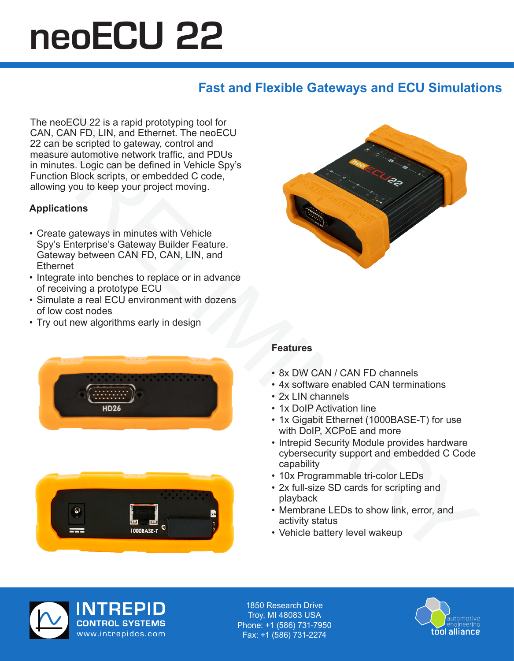# neoECU 22

### **Fast and Flexible Gateways and ECU Simulations**

The neoECU 22 is a rapid prototyping tool for CAN, CAN FD, LIN, and Ethernet. The neoECU 22 can be scripted to gateway, control and measure automotive network traffic, and PDUs in minutes. Logic can be defined in Vehicle Spy's Function Block scripts, or embedded C code, allowing you to keep your project moving.

## **Applications**

- Create gateways in minutes with Vehicle Spy's Enterprise's Gateway Builder Feature. Gateway between CAN FD, CAN, LIN, and **Ethernet**
- Integrate into benches to replace or in advance of receiving a prototype ECU
- Simulate a real ECU environment with dozens of low cost nodes
- Try out new algorithms early in design







#### **Features**

- 8x DW CAN / CAN FD channels
- 4x software enabled CAN terminations
- 2x LIN channels
- 1x DoIP Activation line
- 1x Gigabit Ethernet (1000BASE-T) for use with DoIP, XCPoE and more
- Intrepid Security Module provides hardware cybersecurity support and embedded C Code capability
- 10x Programmable tri-color LEDs
- 2x full-size SD cards for scripting and playback
- Membrane LEDs to show link, error, and activity status
- Vehicle battery level wakeup



1850 Research Drive Troy, MI 48083 USA Troy, MI 48083 USA Phone: +1 (586) 731-7950 Phone: +1 (586) 731-7950 Fax: +1 (586) 731-2274 Fax: +1 (586) 731-2274